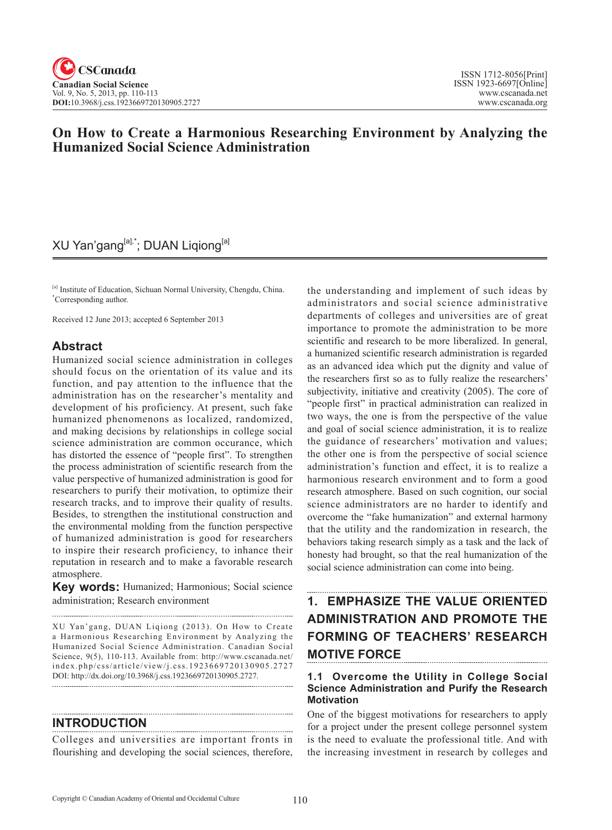## **On How to Create a Harmonious Researching Environment by Analyzing the Humanized Social Science Administration**

## XU Yan'gang<sup>[a],\*</sup>; DUAN Liqiong<sup>[a]</sup>

[a] Institute of Education, Sichuan Normal University, Chengdu, China. \* Corresponding author.

Received 12 June 2013; accepted 6 September 2013

### **Abstract**

Humanized social science administration in colleges should focus on the orientation of its value and its function, and pay attention to the influence that the administration has on the researcher's mentality and development of his proficiency. At present, such fake humanized phenomenons as localized, randomized, and making decisions by relationships in college social science administration are common occurance, which has distorted the essence of "people first". To strengthen the process administration of scientific research from the value perspective of humanized administration is good for researchers to purify their motivation, to optimize their research tracks, and to improve their quality of results. Besides, to strengthen the institutional construction and the environmental molding from the function perspective of humanized administration is good for researchers to inspire their research proficiency, to inhance their reputation in research and to make a favorable research atmosphere.

**Key words:** Humanized; Harmonious; Social science administration; Research environment

XU Yan'gang, DUAN Liqiong (2013). On How to Create a Harmonious Researching Environment by Analyzing the Humanized Social Science Administration. Canadian Social Science, 9(5), 110-113. Available from: http://www.cscanada.net/ index.php/css/article/view/j.css.1923669720130905.2727 DOI: http://dx.doi.org/10.3968/j.css.1923669720130905.2727.

#### **INTRODUCTION**

Colleges and universities are important fronts in flourishing and developing the social sciences, therefore, the understanding and implement of such ideas by administrators and social science administrative departments of colleges and universities are of great importance to promote the administration to be more scientific and research to be more liberalized. In general, a humanized scientific research administration is regarded as an advanced idea which put the dignity and value of the researchers first so as to fully realize the researchers' subjectivity, initiative and creativity (2005). The core of "people first" in practical administration can realized in two ways, the one is from the perspective of the value and goal of social science administration, it is to realize the guidance of researchers' motivation and values; the other one is from the perspective of social science administration's function and effect, it is to realize a harmonious research environment and to form a good research atmosphere. Based on such cognition, our social science administrators are no harder to identify and overcome the "fake humanization" and external harmony that the utility and the randomization in research, the behaviors taking research simply as a task and the lack of honesty had brought, so that the real humanization of the social science administration can come into being.

# **1. EMPHASIZE THE VALUE ORIENTED ADMINISTRATION AND PROMOTE THE FORMING OF TEACHERS' RESEARCH MOTIVE FORCE**

#### **1.1 Overcome the Utility in College Social Science Administration and Purify the Research Motivation**

One of the biggest motivations for researchers to apply for a project under the present college personnel system is the need to evaluate the professional title. And with the increasing investment in research by colleges and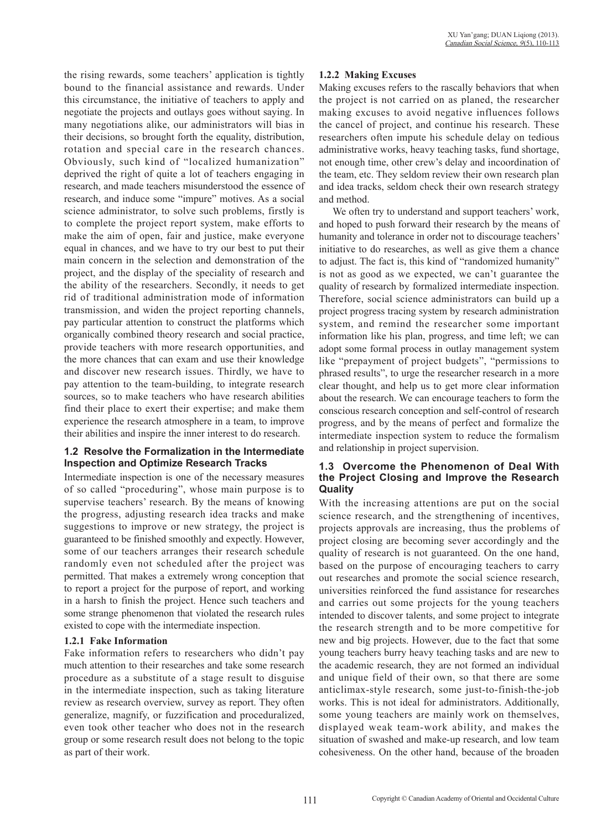the rising rewards, some teachers' application is tightly bound to the financial assistance and rewards. Under this circumstance, the initiative of teachers to apply and negotiate the projects and outlays goes without saying. In many negotiations alike, our administrators will bias in their decisions, so brought forth the equality, distribution, rotation and special care in the research chances. Obviously, such kind of "localized humanization" deprived the right of quite a lot of teachers engaging in research, and made teachers misunderstood the essence of research, and induce some "impure" motives. As a social science administrator, to solve such problems, firstly is to complete the project report system, make efforts to make the aim of open, fair and justice, make everyone equal in chances, and we have to try our best to put their main concern in the selection and demonstration of the project, and the display of the speciality of research and the ability of the researchers. Secondly, it needs to get rid of traditional administration mode of information transmission, and widen the project reporting channels, pay particular attention to construct the platforms which organically combined theory research and social practice, provide teachers with more research opportunities, and the more chances that can exam and use their knowledge and discover new research issues. Thirdly, we have to pay attention to the team-building, to integrate research sources, so to make teachers who have research abilities find their place to exert their expertise; and make them experience the research atmosphere in a team, to improve their abilities and inspire the inner interest to do research.

#### **1.2 Resolve the Formalization in the Intermediate Inspection and Optimize Research Tracks**

Intermediate inspection is one of the necessary measures of so called "proceduring", whose main purpose is to supervise teachers' research. By the means of knowing the progress, adjusting research idea tracks and make suggestions to improve or new strategy, the project is guaranteed to be finished smoothly and expectly. However, some of our teachers arranges their research schedule randomly even not scheduled after the project was permitted. That makes a extremely wrong conception that to report a project for the purpose of report, and working in a harsh to finish the project. Hence such teachers and some strange phenomenon that violated the research rules existed to cope with the intermediate inspection.

#### **1.2.1 Fake Information**

Fake information refers to researchers who didn't pay much attention to their researches and take some research procedure as a substitute of a stage result to disguise in the intermediate inspection, such as taking literature review as research overview, survey as report. They often generalize, magnify, or fuzzification and proceduralized, even took other teacher who does not in the research group or some research result does not belong to the topic as part of their work.

#### **1.2.2 Making Excuses**

Making excuses refers to the rascally behaviors that when the project is not carried on as planed, the researcher making excuses to avoid negative influences follows the cancel of project, and continue his research. These researchers often impute his schedule delay on tedious administrative works, heavy teaching tasks, fund shortage, not enough time, other crew's delay and incoordination of the team, etc. They seldom review their own research plan and idea tracks, seldom check their own research strategy and method.

We often try to understand and support teachers' work, and hoped to push forward their research by the means of humanity and tolerance in order not to discourage teachers' initiative to do researches, as well as give them a chance to adjust. The fact is, this kind of "randomized humanity" is not as good as we expected, we can't guarantee the quality of research by formalized intermediate inspection. Therefore, social science administrators can build up a project progress tracing system by research administration system, and remind the researcher some important information like his plan, progress, and time left; we can adopt some formal process in outlay management system like "prepayment of project budgets", "permissions to phrased results", to urge the researcher research in a more clear thought, and help us to get more clear information about the research. We can encourage teachers to form the conscious research conception and self-control of research progress, and by the means of perfect and formalize the intermediate inspection system to reduce the formalism and relationship in project supervision.

#### **1.3 Overcome the Phenomenon of Deal With the Project Closing and Improve the Research Quality**

With the increasing attentions are put on the social science research, and the strengthening of incentives, projects approvals are increasing, thus the problems of project closing are becoming sever accordingly and the quality of research is not guaranteed. On the one hand, based on the purpose of encouraging teachers to carry out researches and promote the social science research, universities reinforced the fund assistance for researches and carries out some projects for the young teachers intended to discover talents, and some project to integrate the research strength and to be more competitive for new and big projects. However, due to the fact that some young teachers burry heavy teaching tasks and are new to the academic research, they are not formed an individual and unique field of their own, so that there are some anticlimax-style research, some just-to-finish-the-job works. This is not ideal for administrators. Additionally, some young teachers are mainly work on themselves, displayed weak team-work ability, and makes the situation of swashed and make-up research, and low team cohesiveness. On the other hand, because of the broaden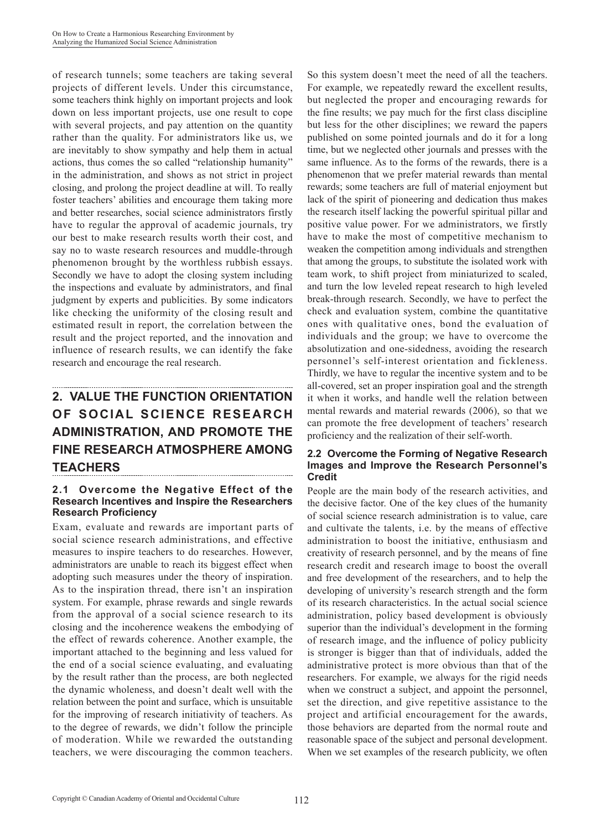of research tunnels; some teachers are taking several projects of different levels. Under this circumstance, some teachers think highly on important projects and look down on less important projects, use one result to cope with several projects, and pay attention on the quantity rather than the quality. For administrators like us, we are inevitably to show sympathy and help them in actual actions, thus comes the so called "relationship humanity" in the administration, and shows as not strict in project closing, and prolong the project deadline at will. To really foster teachers' abilities and encourage them taking more and better researches, social science administrators firstly have to regular the approval of academic journals, try our best to make research results worth their cost, and say no to waste research resources and muddle-through phenomenon brought by the worthless rubbish essays. Secondly we have to adopt the closing system including the inspections and evaluate by administrators, and final judgment by experts and publicities. By some indicators like checking the uniformity of the closing result and estimated result in report, the correlation between the result and the project reported, and the innovation and influence of research results, we can identify the fake research and encourage the real research.

# **2. VALUE THE FUNCTION ORIENTATION OF SOCIAL SCIENCE RESEARCH ADMINISTRATION, AND PROMOTE THE FINE RESEARCH ATMOSPHERE AMONG TEACHERS**

#### **2.1 Overcome the Negative Effect of the Research Incentives and Inspire the Researchers Research Proficiency**

Exam, evaluate and rewards are important parts of social science research administrations, and effective measures to inspire teachers to do researches. However, administrators are unable to reach its biggest effect when adopting such measures under the theory of inspiration. As to the inspiration thread, there isn't an inspiration system. For example, phrase rewards and single rewards from the approval of a social science research to its closing and the incoherence weakens the embodying of the effect of rewards coherence. Another example, the important attached to the beginning and less valued for the end of a social science evaluating, and evaluating by the result rather than the process, are both neglected the dynamic wholeness, and doesn't dealt well with the relation between the point and surface, which is unsuitable for the improving of research initiativity of teachers. As to the degree of rewards, we didn't follow the principle of moderation. While we rewarded the outstanding teachers, we were discouraging the common teachers.

So this system doesn't meet the need of all the teachers. For example, we repeatedly reward the excellent results, but neglected the proper and encouraging rewards for the fine results; we pay much for the first class discipline but less for the other disciplines; we reward the papers published on some pointed journals and do it for a long time, but we neglected other journals and presses with the same influence. As to the forms of the rewards, there is a phenomenon that we prefer material rewards than mental rewards; some teachers are full of material enjoyment but lack of the spirit of pioneering and dedication thus makes the research itself lacking the powerful spiritual pillar and positive value power. For we administrators, we firstly have to make the most of competitive mechanism to weaken the competition among individuals and strengthen that among the groups, to substitute the isolated work with team work, to shift project from miniaturized to scaled, and turn the low leveled repeat research to high leveled break-through research. Secondly, we have to perfect the check and evaluation system, combine the quantitative ones with qualitative ones, bond the evaluation of individuals and the group; we have to overcome the absolutization and one-sidedness, avoiding the research personnel's self-interest orientation and fickleness. Thirdly, we have to regular the incentive system and to be all-covered, set an proper inspiration goal and the strength it when it works, and handle well the relation between mental rewards and material rewards (2006), so that we can promote the free development of teachers' research proficiency and the realization of their self-worth.

#### **2.2 Overcome the Forming of Negative Research Images and Improve the Research Personnel's Credit**

People are the main body of the research activities, and the decisive factor. One of the key clues of the humanity of social science research administration is to value, care and cultivate the talents, i.e. by the means of effective administration to boost the initiative, enthusiasm and creativity of research personnel, and by the means of fine research credit and research image to boost the overall and free development of the researchers, and to help the developing of university's research strength and the form of its research characteristics. In the actual social science administration, policy based development is obviously superior than the individual's development in the forming of research image, and the influence of policy publicity is stronger is bigger than that of individuals, added the administrative protect is more obvious than that of the researchers. For example, we always for the rigid needs when we construct a subject, and appoint the personnel, set the direction, and give repetitive assistance to the project and artificial encouragement for the awards, those behaviors are departed from the normal route and reasonable space of the subject and personal development. When we set examples of the research publicity, we often